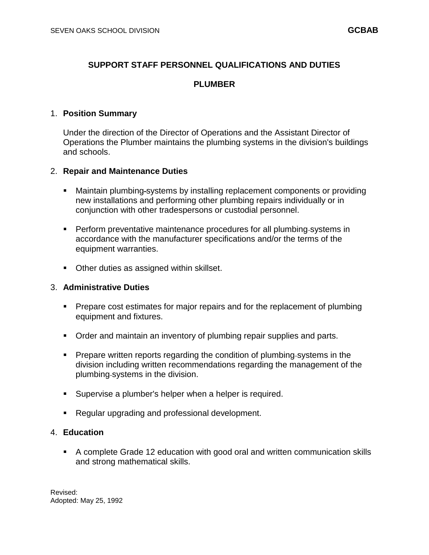# **SUPPORT STAFF PERSONNEL QUALIFICATIONS AND DUTIES**

### **PLUMBER**

#### 1. **Position Summary**

Under the direction of the Director of Operations and the Assistant Director of Operations the Plumber maintains the plumbing systems in the division's buildings and schools.

#### 2. **Repair and Maintenance Duties**

- Maintain plumbing systems by installing replacement components or providing new installations and performing other plumbing repairs individually or in conjunction with other tradespersons or custodial personnel.
- Perform preventative maintenance procedures for all plumbing systems in accordance with the manufacturer specifications and/or the terms of the equipment warranties.
- **Deter duties as assigned within skillset.**

#### 3. **Administrative Duties**

- **Prepare cost estimates for major repairs and for the replacement of plumbing** equipment and fixtures.
- **Order and maintain an inventory of plumbing repair supplies and parts.**
- Prepare written reports regarding the condition of plumbing systems in the division including written recommendations regarding the management of the plumbing systems in the division.
- Supervise a plumber's helper when a helper is required.
- Regular upgrading and professional development.

### 4. **Education**

 A complete Grade 12 education with good oral and written communication skills and strong mathematical skills.

Revised: Adopted: May 25, 1992